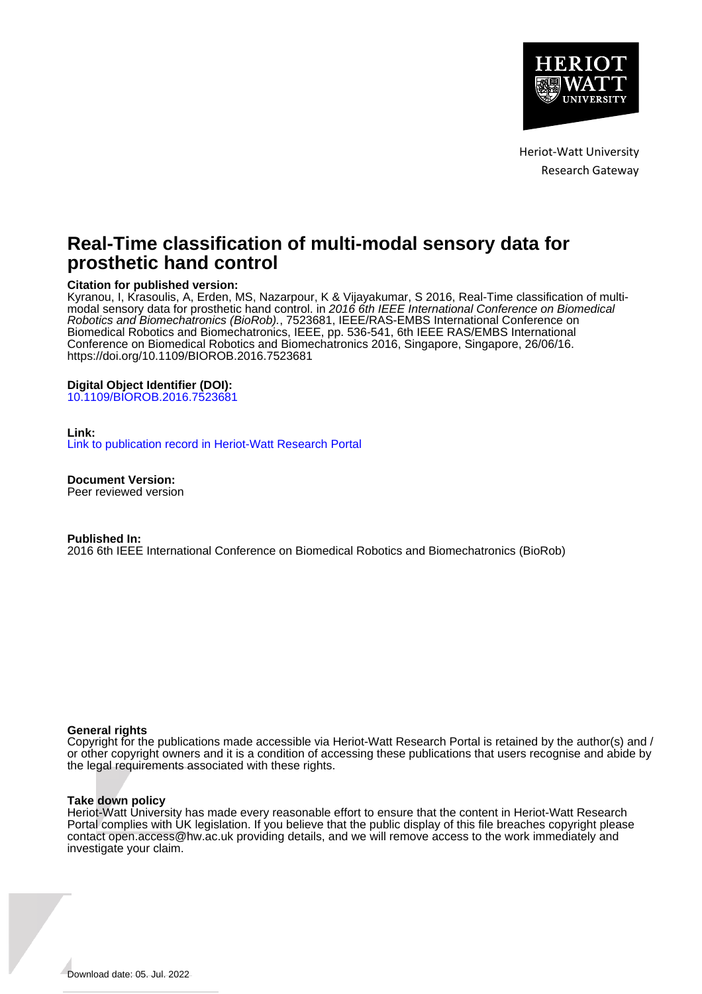

Heriot-Watt University Research Gateway

# **Real-Time classification of multi-modal sensory data for prosthetic hand control**

## **Citation for published version:**

Kyranou, I, Krasoulis, A, Erden, MS, Nazarpour, K & Vijayakumar, S 2016, Real-Time classification of multimodal sensory data for prosthetic hand control. in 2016 6th IEEE International Conference on Biomedical Robotics and Biomechatronics (BioRob)., 7523681, IEEE/RAS-EMBS International Conference on Biomedical Robotics and Biomechatronics, IEEE, pp. 536-541, 6th IEEE RAS/EMBS International Conference on Biomedical Robotics and Biomechatronics 2016, Singapore, Singapore, 26/06/16. <https://doi.org/10.1109/BIOROB.2016.7523681>

## **Digital Object Identifier (DOI):**

[10.1109/BIOROB.2016.7523681](https://doi.org/10.1109/BIOROB.2016.7523681)

## **Link:**

[Link to publication record in Heriot-Watt Research Portal](https://researchportal.hw.ac.uk/en/publications/85a2678d-0c2f-49a6-bd86-f92ffde04704)

**Document Version:** Peer reviewed version

#### **Published In:**

2016 6th IEEE International Conference on Biomedical Robotics and Biomechatronics (BioRob)

## **General rights**

Copyright for the publications made accessible via Heriot-Watt Research Portal is retained by the author(s) and / or other copyright owners and it is a condition of accessing these publications that users recognise and abide by the legal requirements associated with these rights.

## **Take down policy**

Heriot-Watt University has made every reasonable effort to ensure that the content in Heriot-Watt Research Portal complies with UK legislation. If you believe that the public display of this file breaches copyright please contact open.access@hw.ac.uk providing details, and we will remove access to the work immediately and investigate your claim.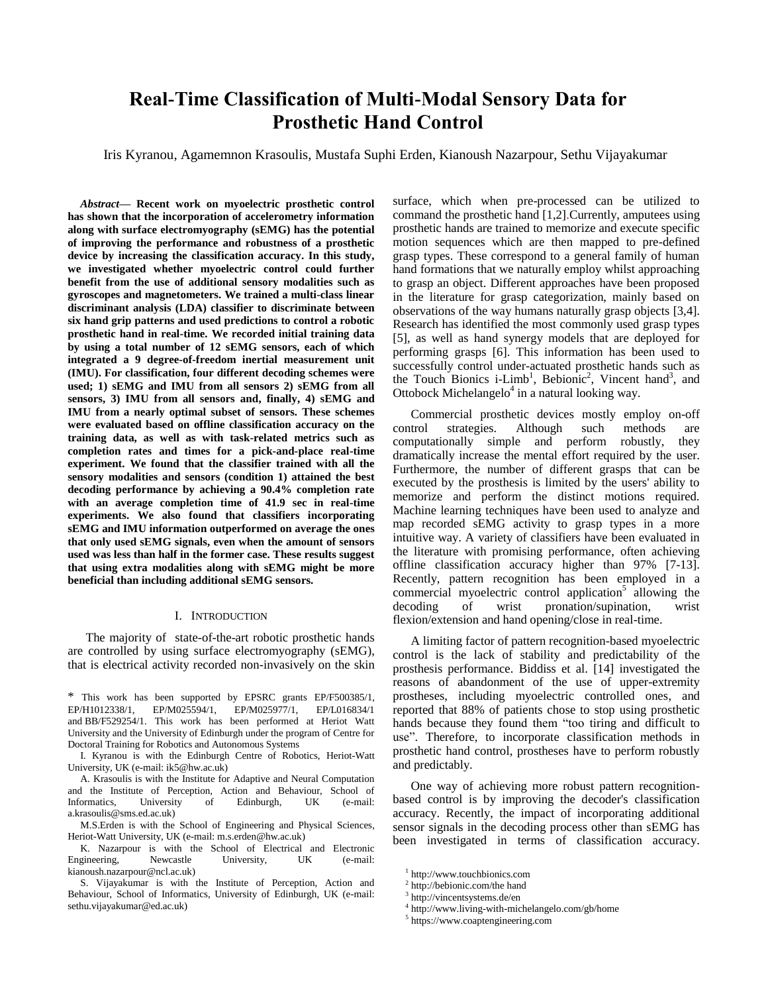# **Real-Time Classification of Multi-Modal Sensory Data for Prosthetic Hand Control**

Iris Kyranou, Agamemnon Krasoulis, Mustafa Suphi Erden, Kianoush Nazarpour, Sethu Vijayakumar

*Abstract***— Recent work on myoelectric prosthetic control has shown that the incorporation of accelerometry information along with surface electromyography (sEMG) has the potential of improving the performance and robustness of a prosthetic device by increasing the classification accuracy. In this study, we investigated whether myoelectric control could further benefit from the use of additional sensory modalities such as gyroscopes and magnetometers. We trained a multi-class linear discriminant analysis (LDA) classifier to discriminate between six hand grip patterns and used predictions to control a robotic prosthetic hand in real-time. We recorded initial training data by using a total number of 12 sEMG sensors, each of which integrated a 9 degree-of-freedom inertial measurement unit (IMU). For classification, four different decoding schemes were used; 1) sEMG and IMU from all sensors 2) sEMG from all sensors, 3) IMU from all sensors and, finally, 4) sEMG and IMU from a nearly optimal subset of sensors. These schemes were evaluated based on offline classification accuracy on the training data, as well as with task-related metrics such as completion rates and times for a pick-and-place real-time experiment. We found that the classifier trained with all the sensory modalities and sensors (condition 1) attained the best decoding performance by achieving a 90.4% completion rate with an average completion time of 41.9 sec in real-time experiments. We also found that classifiers incorporating sEMG and IMU information outperformed on average the ones that only used sEMG signals, even when the amount of sensors used was less than half in the former case. These results suggest that using extra modalities along with sEMG might be more beneficial than including additional sEMG sensors.**

#### I. INTRODUCTION

The majority of state-of-the-art robotic prosthetic hands are controlled by using surface electromyography (sEMG), that is electrical activity recorded non-invasively on the skin

\* This work has been supported by EPSRC grants EP/F500385/1, EP/M025594/1, and BB/F529254/1. This work has been performed at Heriot Watt University and the University of Edinburgh under the program of Centre for Doctoral Training for Robotics and Autonomous Systems

I. Kyranou is with the Edinburgh Centre of Robotics, Heriot-Watt University, UK (e-mail: ik5@hw.ac.uk)

A. Krasoulis is with the Institute for Adaptive and Neural Computation and the Institute of Perception, Action and Behaviour, School of Informatics, University of Edinburgh, UK (e-mail: a.krasoulis@sms.ed.ac.uk)

M.S.Erden is with the School of Engineering and Physical Sciences, Heriot-Watt University, UK (e-mail: m.s.erden@hw.ac.uk)

K. Nazarpour is with the School of Electrical and Electronic Engineering, Newcastle University, UK (e-mail: kianoush.nazarpour@ncl.ac.uk)

S. Vijayakumar is with the Institute of Perception, Action and Behaviour, School of Informatics, University of Edinburgh, UK (e-mail: sethu.vijayakumar@ed.ac.uk)

surface, which when pre-processed can be utilized to command the prosthetic hand [1,2].Currently, amputees using prosthetic hands are trained to memorize and execute specific motion sequences which are then mapped to pre-defined grasp types. These correspond to a general family of human hand formations that we naturally employ whilst approaching to grasp an object. Different approaches have been proposed in the literature for grasp categorization, mainly based on observations of the way humans naturally grasp objects [3,4]. Research has identified the most commonly used grasp types [5], as well as hand synergy models that are deployed for performing grasps [6]. This information has been used to successfully control under-actuated prosthetic hands such as the Touch Bionics i-Limb<sup>1</sup>, Bebionic<sup>2</sup>, Vincent hand<sup>3</sup>, and Ottobock Michelangelo<sup>4</sup> in a natural looking way.

Commercial prosthetic devices mostly employ on-off control strategies. Although such methods are computationally simple and perform robustly, they dramatically increase the mental effort required by the user. Furthermore, the number of different grasps that can be executed by the prosthesis is limited by the users' ability to memorize and perform the distinct motions required. Machine learning techniques have been used to analyze and map recorded sEMG activity to grasp types in a more intuitive way. A variety of classifiers have been evaluated in the literature with promising performance, often achieving offline classification accuracy higher than 97% [7-13]. Recently, pattern recognition has been employed in a commercial myoelectric control application<sup>5</sup> allowing the decoding of wrist pronation/supination, wrist flexion/extension and hand opening/close in real-time.

A limiting factor of pattern recognition-based myoelectric control is the lack of stability and predictability of the prosthesis performance. Biddiss et al. [14] investigated the reasons of abandonment of the use of upper-extremity prostheses, including myoelectric controlled ones, and reported that 88% of patients chose to stop using prosthetic hands because they found them "too tiring and difficult to use". Therefore, to incorporate classification methods in prosthetic hand control, prostheses have to perform robustly and predictably.

One way of achieving more robust pattern recognitionbased control is by improving the decoder's classification accuracy. Recently, the impact of incorporating additional sensor signals in the decoding process other than sEMG has been investigated in terms of classification accuracy.

<sup>1</sup> http://www.touchbionics.com

<sup>&</sup>lt;sup>2</sup> http://bebionic.com/the hand

<sup>3</sup> http://vincentsystems.de/en

<sup>4</sup> [http://www.living-with-michelangelo.com/gb/home](http://www.living-with-michelangelo.com/gb/home/)

<sup>5</sup> https://www.coaptengineering.com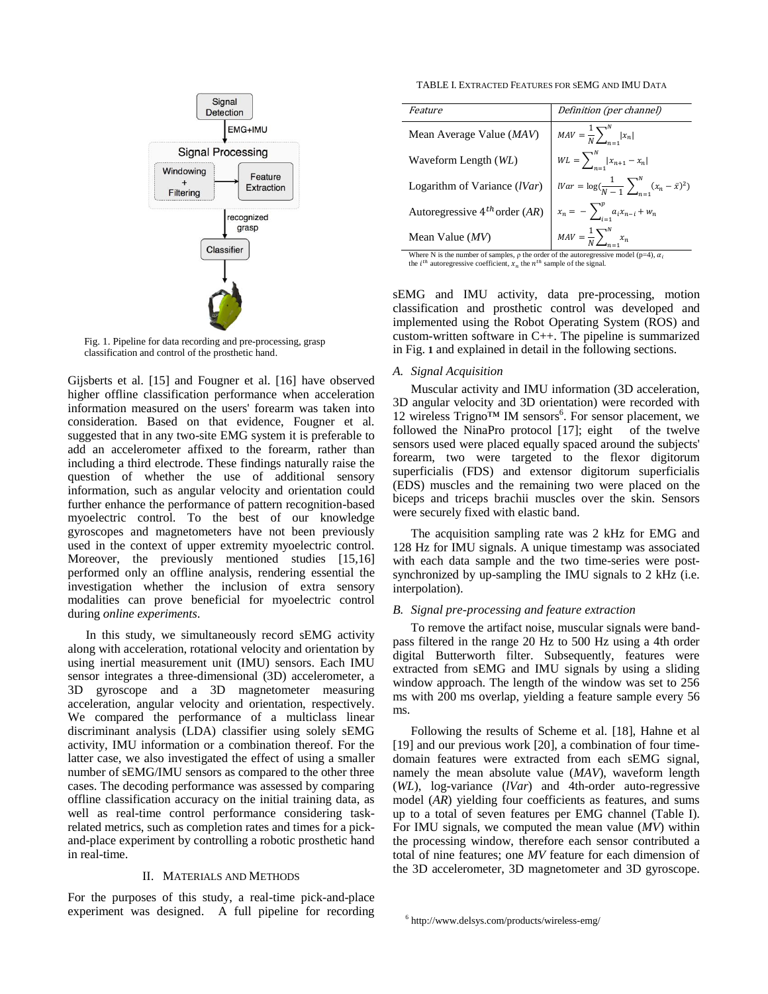

<span id="page-2-0"></span>Fig. 1. Pipeline for data recording and pre-processing, grasp classification and control of the prosthetic hand.

Gijsberts et al. [15] and Fougner et al. [16] have observed higher offline classification performance when acceleration information measured on the users' forearm was taken into consideration. Based on that evidence, Fougner et al. suggested that in any two-site EMG system it is preferable to add an accelerometer affixed to the forearm, rather than including a third electrode. These findings naturally raise the question of whether the use of additional sensory information, such as angular velocity and orientation could further enhance the performance of pattern recognition-based myoelectric control. To the best of our knowledge gyroscopes and magnetometers have not been previously used in the context of upper extremity myoelectric control. Moreover, the previously mentioned studies [15,16] performed only an offline analysis, rendering essential the investigation whether the inclusion of extra sensory modalities can prove beneficial for myoelectric control during *online experiments*.

In this study, we simultaneously record sEMG activity along with acceleration, rotational velocity and orientation by using inertial measurement unit (IMU) sensors. Each IMU sensor integrates a three-dimensional (3D) accelerometer, a 3D gyroscope and a 3D magnetometer measuring acceleration, angular velocity and orientation, respectively. We compared the performance of a multiclass linear discriminant analysis (LDA) classifier using solely sEMG activity, IMU information or a combination thereof. For the latter case, we also investigated the effect of using a smaller number of sEMG/IMU sensors as compared to the other three cases. The decoding performance was assessed by comparing offline classification accuracy on the initial training data, as well as real-time control performance considering taskrelated metrics, such as completion rates and times for a pickand-place experiment by controlling a robotic prosthetic hand in real-time.

### II. MATERIALS AND METHODS

For the purposes of this study, a real-time pick-and-place experiment was designed. A full pipeline for recording

TABLE I. EXTRACTED FEATURES FOR SEMG AND IMU DATA

| <i>Feature</i>                                                                                  | Definition (per channel)                                   |  |
|-------------------------------------------------------------------------------------------------|------------------------------------------------------------|--|
| Mean Average Value $(MAV)$                                                                      | $MAV = \frac{1}{N} \sum_{n=1}^{N}  x_n $                   |  |
| Waveform Length (WL)                                                                            | $WL = \sum_{n=1}^{N}  x_{n+1} - x_n $                      |  |
| Logarithm of Variance $(Var)$                                                                   | $War = \log(\frac{1}{N-1}\sum_{n=1}^{N}(x_n - \bar{x})^2)$ |  |
| Autoregressive 4 <sup>th</sup> order (AR) $x_n = -\sum_{i=1}^{p} a_i x_{n-i} + w_n$             |                                                            |  |
| Mean Value $(MV)$                                                                               | $MAV = \frac{1}{N} \sum_{n=1}^{N} x_n$                     |  |
| Where N is the number of samples, o the order of the autoregressive model ( $n=4$ ), $\alpha$ . |                                                            |  |

Where N is the number of samples,  $\rho$  the order of the autoregressive model (p=4), the *i*<sup>th</sup> autoregressive coefficient,  $x_n$  the *n*<sup>th</sup> sample of the signal.

sEMG and IMU activity, data pre-processing, motion classification and prosthetic control was developed and implemented using the Robot Operating System (ROS) and custom-written software in C++. The pipeline is summarized in [Fig.](#page-2-0) **1** and explained in detail in the following sections.

#### *A. Signal Acquisition*

Muscular activity and IMU information (3D acceleration, 3D angular velocity and 3D orientation) were recorded with 12 wireless Trigno™ IM sensors<sup>6</sup>. For sensor placement, we followed the NinaPro protocol [17]; eight of the twelve sensors used were placed equally spaced around the subjects' forearm, two were targeted to the flexor digitorum superficialis (FDS) and extensor digitorum superficialis (EDS) muscles and the remaining two were placed on the biceps and triceps brachii muscles over the skin. Sensors were securely fixed with elastic band.

The acquisition sampling rate was 2 kHz for EMG and 128 Hz for IMU signals. A unique timestamp was associated with each data sample and the two time-series were postsynchronized by up-sampling the IMU signals to 2 kHz (i.e. interpolation).

### *B. Signal pre-processing and feature extraction*

To remove the artifact noise, muscular signals were bandpass filtered in the range 20 Hz to 500 Hz using a 4th order digital Butterworth filter. Subsequently, features were extracted from sEMG and IMU signals by using a sliding window approach. The length of the window was set to 256 ms with 200 ms overlap, yielding a feature sample every 56 ms.

Following the results of Scheme et al. [18], Hahne et al [19] and our previous work [20], a combination of four timedomain features were extracted from each sEMG signal, namely the mean absolute value (*MAV*), waveform length (*WL*), log-variance (*lVar*) and 4th-order auto-regressive model (*AR*) yielding four coefficients as features, and sums up to a total of seven features per EMG channel (Table I). For IMU signals, we computed the mean value (*MV*) within the processing window, therefore each sensor contributed a total of nine features; one *MV* feature for each dimension of the 3D accelerometer, 3D magnetometer and 3D gyroscope.

<sup>6</sup> http://www.delsys.com/products/wireless-emg/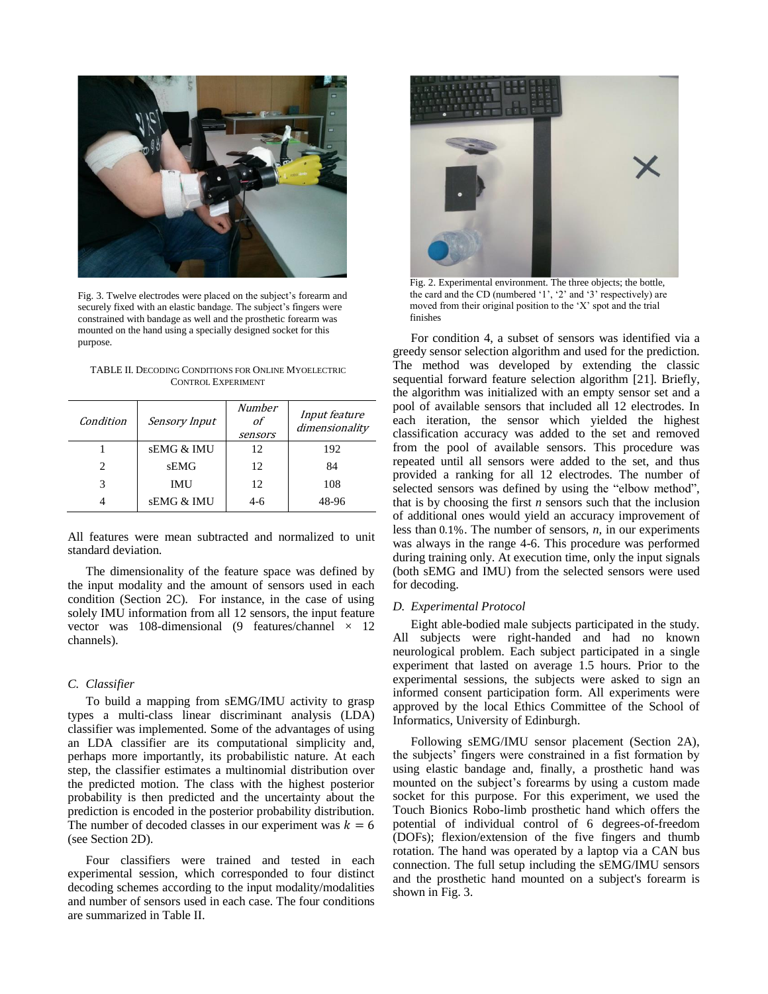

Fig. 3. Twelve electrodes were placed on the subject's forearm and securely fixed with an elastic bandage. The subject's fingers were constrained with bandage as well and the prosthetic forearm was mounted on the hand using a specially designed socket for this purpose.

<span id="page-3-0"></span>TABLE II. DECODING CONDITIONS FOR ONLINE MYOELECTRIC CONTROL EXPERIMENT

| Condition | <b>Sensory Input</b> | Number<br>οf<br>sensors | <i>Input feature</i><br>dimensionality |
|-----------|----------------------|-------------------------|----------------------------------------|
|           | sEMG & IMU           | 12                      | 192                                    |
|           | <b>sEMG</b>          | 12                      | 84                                     |
| 3         | IMU                  | 12                      | 108                                    |
|           | sEMG & IMU           | 4-6                     | 48-96                                  |

All features were mean subtracted and normalized to unit standard deviation.

The dimensionality of the feature space was defined by the input modality and the amount of sensors used in each condition (Section 2C). For instance, in the case of using solely IMU information from all 12 sensors, the input feature vector was 108-dimensional (9 features/channel  $\times$  12 channels).

## *C. Classifier*

To build a mapping from sEMG/IMU activity to grasp types a multi-class linear discriminant analysis (LDA) classifier was implemented. Some of the advantages of using an LDA classifier are its computational simplicity and, perhaps more importantly, its probabilistic nature. At each step, the classifier estimates a multinomial distribution over the predicted motion. The class with the highest posterior probability is then predicted and the uncertainty about the prediction is encoded in the posterior probability distribution. The number of decoded classes in our experiment was  $k = 6$ (see Section 2D).

Four classifiers were trained and tested in each experimental session, which corresponded to four distinct decoding schemes according to the input modality/modalities and number of sensors used in each case. The four conditions are summarized in Table II.



Fig. 2. Experimental environment. The three objects; the bottle, the card and the CD (numbered '1', '2' and '3' respectively) are moved from their original position to the 'X' spot and the trial finishes

<span id="page-3-1"></span>For condition 4, a subset of sensors was identified via a greedy sensor selection algorithm and used for the prediction. The method was developed by extending the classic sequential forward feature selection algorithm [21]. Briefly, the algorithm was initialized with an empty sensor set and a pool of available sensors that included all 12 electrodes. In each iteration, the sensor which yielded the highest classification accuracy was added to the set and removed from the pool of available sensors. This procedure was repeated until all sensors were added to the set, and thus provided a ranking for all 12 electrodes. The number of selected sensors was defined by using the "elbow method", that is by choosing the first *n* sensors such that the inclusion of additional ones would yield an accuracy improvement of less than  $0.1\%$ . The number of sensors, *n*, in our experiments was always in the range 4-6. This procedure was performed during training only. At execution time, only the input signals (both sEMG and IMU) from the selected sensors were used for decoding.

## *D. Experimental Protocol*

Eight able-bodied male subjects participated in the study. All subjects were right-handed and had no known neurological problem. Each subject participated in a single experiment that lasted on average 1.5 hours. Prior to the experimental sessions, the subjects were asked to sign an informed consent participation form. All experiments were approved by the local Ethics Committee of the School of Informatics, University of Edinburgh.

Following sEMG/IMU sensor placement (Section 2A), the subjects' fingers were constrained in a fist formation by using elastic bandage and, finally, a prosthetic hand was mounted on the subject's forearms by using a custom made socket for this purpose. For this experiment, we used the Touch Bionics Robo-limb prosthetic hand which offers the potential of individual control of 6 degrees-of-freedom (DOFs); flexion/extension of the five fingers and thumb rotation. The hand was operated by a laptop via a CAN bus connection. The full setup including the sEMG/IMU sensors and the prosthetic hand mounted on a subject's forearm is shown i[n Fig. 3.](#page-3-0)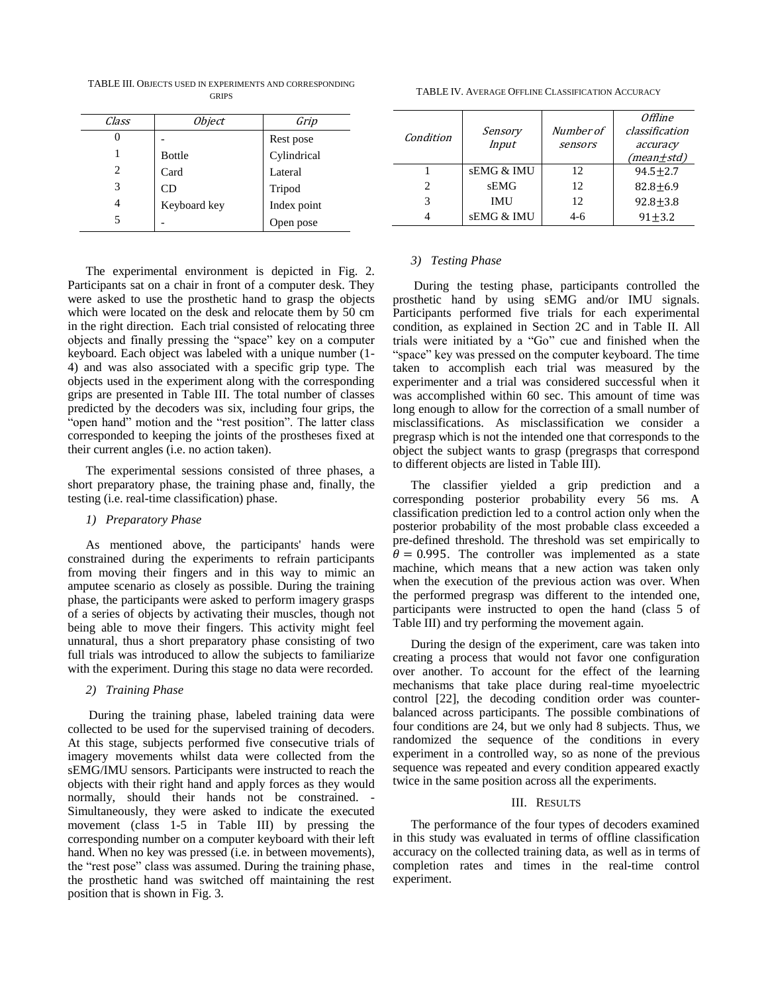TABLE III. OBJECTS USED IN EXPERIMENTS AND CORRESPONDING **GRIPS** 

| Class | <i>Object</i> | Grip        |
|-------|---------------|-------------|
|       |               | Rest pose   |
|       | <b>Bottle</b> | Cylindrical |
| 2     | Card          | Lateral     |
| 3     | CD            | Tripod      |
| 4     | Keyboard key  | Index point |
| 5     |               | pen pose    |

The experimental environment is depicted in [Fig. 2.](#page-3-1)  Participants sat on a chair in front of a computer desk. They were asked to use the prosthetic hand to grasp the objects which were located on the desk and relocate them by 50 cm in the right direction. Each trial consisted of relocating three objects and finally pressing the "space" key on a computer keyboard. Each object was labeled with a unique number (1- 4) and was also associated with a specific grip type. The objects used in the experiment along with the corresponding grips are presented in Table III. The total number of classes predicted by the decoders was six, including four grips, the "open hand" motion and the "rest position". The latter class corresponded to keeping the joints of the prostheses fixed at their current angles (i.e. no action taken).

The experimental sessions consisted of three phases, a short preparatory phase, the training phase and, finally, the testing (i.e. real-time classification) phase.

### *1) Preparatory Phase*

As mentioned above, the participants' hands were constrained during the experiments to refrain participants from moving their fingers and in this way to mimic an amputee scenario as closely as possible. During the training phase, the participants were asked to perform imagery grasps of a series of objects by activating their muscles, though not being able to move their fingers. This activity might feel unnatural, thus a short preparatory phase consisting of two full trials was introduced to allow the subjects to familiarize with the experiment. During this stage no data were recorded.

## *2) Training Phase*

During the training phase, labeled training data were collected to be used for the supervised training of decoders. At this stage, subjects performed five consecutive trials of imagery movements whilst data were collected from the sEMG/IMU sensors. Participants were instructed to reach the objects with their right hand and apply forces as they would normally, should their hands not be constrained. - Simultaneously, they were asked to indicate the executed movement (class 1-5 in Table III) by pressing the corresponding number on a computer keyboard with their left hand. When no key was pressed (i.e. in between movements), the "rest pose" class was assumed. During the training phase, the prosthetic hand was switched off maintaining the rest position that is shown in [Fig. 3.](#page-3-0)

TABLE IV. AVERAGE OFFLINE CLASSIFICATION ACCURACY

| Condition                   | Sensory<br>Input      | Number of<br>sensors | Offline<br>classification<br>accuracy<br>(mean±std) |
|-----------------------------|-----------------------|----------------------|-----------------------------------------------------|
|                             | <b>sEMG &amp; IMU</b> | 12                   | $94.5 + 2.7$                                        |
| $\mathcal{D}_{\mathcal{L}}$ | sEMG                  | 12                   | $82.8 + 6.9$                                        |
| 3                           | IMU                   | 12                   | $92.8 + 3.8$                                        |
|                             | sEMG & IMU            | $4-6$                | $91 + 3.2$                                          |

## *3) Testing Phase*

During the testing phase, participants controlled the prosthetic hand by using sEMG and/or IMU signals. Participants performed five trials for each experimental condition, as explained in Section 2C and in Table II. All trials were initiated by a "Go" cue and finished when the "space" key was pressed on the computer keyboard. The time taken to accomplish each trial was measured by the experimenter and a trial was considered successful when it was accomplished within 60 sec. This amount of time was long enough to allow for the correction of a small number of misclassifications. As misclassification we consider a pregrasp which is not the intended one that corresponds to the object the subject wants to grasp (pregrasps that correspond to different objects are listed in Table III).

The classifier yielded a grip prediction and a corresponding posterior probability every 56 ms. A classification prediction led to a control action only when the posterior probability of the most probable class exceeded a pre-defined threshold. The threshold was set empirically to  $\theta = 0.995$ . The controller was implemented as a state machine, which means that a new action was taken only when the execution of the previous action was over. When the performed pregrasp was different to the intended one, participants were instructed to open the hand (class 5 of Table III) and try performing the movement again.

During the design of the experiment, care was taken into creating a process that would not favor one configuration over another. To account for the effect of the learning mechanisms that take place during real-time myoelectric control [22], the decoding condition order was counterbalanced across participants. The possible combinations of four conditions are 24, but we only had 8 subjects. Thus, we randomized the sequence of the conditions in every experiment in a controlled way, so as none of the previous sequence was repeated and every condition appeared exactly twice in the same position across all the experiments.

#### III. RESULTS

The performance of the four types of decoders examined in this study was evaluated in terms of offline classification accuracy on the collected training data, as well as in terms of completion rates and times in the real-time control experiment.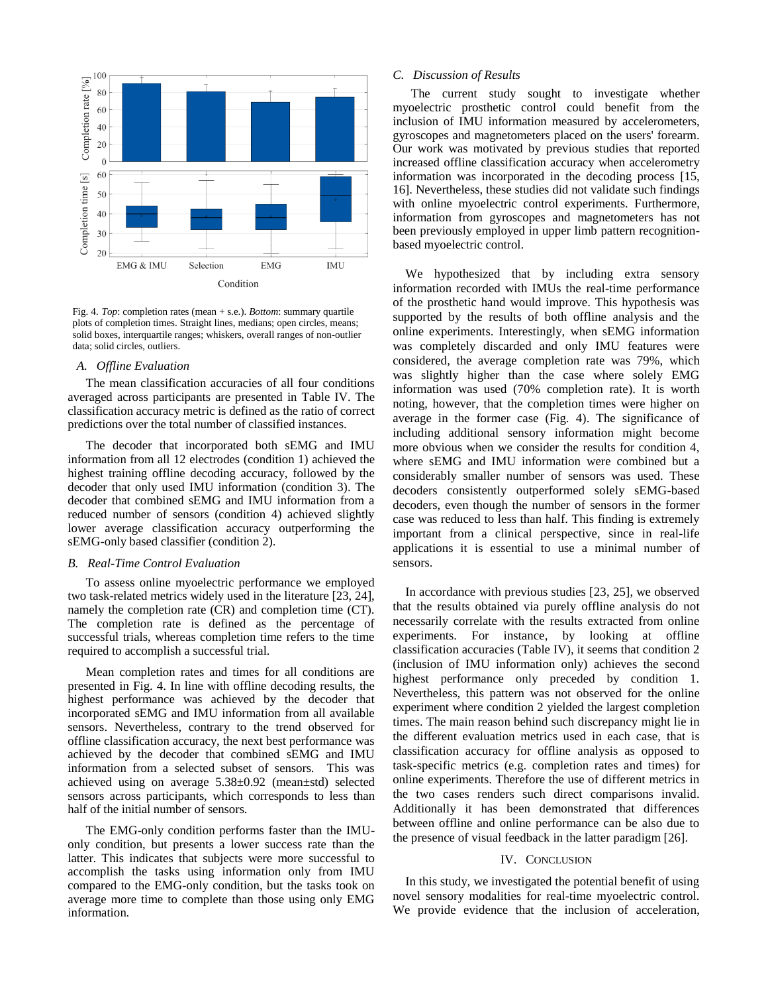

<span id="page-5-0"></span>Fig. 4. *Top*: completion rates (mean + s.e.). *Bottom*: summary quartile plots of completion times. Straight lines, medians; open circles, means; solid boxes, interquartile ranges; whiskers, overall ranges of non-outlier data; solid circles, outliers.

## *A. Offline Evaluation*

The mean classification accuracies of all four conditions averaged across participants are presented in Table IV. The classification accuracy metric is defined as the ratio of correct predictions over the total number of classified instances.

The decoder that incorporated both sEMG and IMU information from all 12 electrodes (condition 1) achieved the highest training offline decoding accuracy, followed by the decoder that only used IMU information (condition 3). The decoder that combined sEMG and IMU information from a reduced number of sensors (condition 4) achieved slightly lower average classification accuracy outperforming the sEMG-only based classifier (condition 2).

## *B. Real-Time Control Evaluation*

To assess online myoelectric performance we employed two task-related metrics widely used in the literature [23, 24], namely the completion rate (CR) and completion time (CT). The completion rate is defined as the percentage of successful trials, whereas completion time refers to the time required to accomplish a successful trial.

Mean completion rates and times for all conditions are presented in [Fig. 4.](#page-5-0) In line with offline decoding results, the highest performance was achieved by the decoder that incorporated sEMG and IMU information from all available sensors. Nevertheless, contrary to the trend observed for offline classification accuracy, the next best performance was achieved by the decoder that combined sEMG and IMU information from a selected subset of sensors. This was achieved using on average 5.38±0.92 (mean±std) selected sensors across participants, which corresponds to less than half of the initial number of sensors.

The EMG-only condition performs faster than the IMUonly condition, but presents a lower success rate than the latter. This indicates that subjects were more successful to accomplish the tasks using information only from IMU compared to the EMG-only condition, but the tasks took on average more time to complete than those using only EMG information.

## *C. Discussion of Results*

The current study sought to investigate whether myoelectric prosthetic control could benefit from the inclusion of IMU information measured by accelerometers, gyroscopes and magnetometers placed on the users' forearm. Our work was motivated by previous studies that reported increased offline classification accuracy when accelerometry information was incorporated in the decoding process [15, 16]. Nevertheless, these studies did not validate such findings with online myoelectric control experiments. Furthermore, information from gyroscopes and magnetometers has not been previously employed in upper limb pattern recognitionbased myoelectric control.

We hypothesized that by including extra sensory information recorded with IMUs the real-time performance of the prosthetic hand would improve. This hypothesis was supported by the results of both offline analysis and the online experiments. Interestingly, when sEMG information was completely discarded and only IMU features were considered, the average completion rate was 79%, which was slightly higher than the case where solely EMG information was used (70% completion rate). It is worth noting, however, that the completion times were higher on average in the former case (Fig. 4). The significance of including additional sensory information might become more obvious when we consider the results for condition 4, where sEMG and IMU information were combined but a considerably smaller number of sensors was used. These decoders consistently outperformed solely sEMG-based decoders, even though the number of sensors in the former case was reduced to less than half. This finding is extremely important from a clinical perspective, since in real-life applications it is essential to use a minimal number of sensors.

In accordance with previous studies [23, 25], we observed that the results obtained via purely offline analysis do not necessarily correlate with the results extracted from online experiments. For instance, by looking at offline classification accuracies (Table IV), it seems that condition 2 (inclusion of IMU information only) achieves the second highest performance only preceded by condition 1. Nevertheless, this pattern was not observed for the online experiment where condition 2 yielded the largest completion times. The main reason behind such discrepancy might lie in the different evaluation metrics used in each case, that is classification accuracy for offline analysis as opposed to task-specific metrics (e.g. completion rates and times) for online experiments. Therefore the use of different metrics in the two cases renders such direct comparisons invalid. Additionally it has been demonstrated that differences between offline and online performance can be also due to the presence of visual feedback in the latter paradigm [26].

## IV. CONCLUSION

In this study, we investigated the potential benefit of using novel sensory modalities for real-time myoelectric control. We provide evidence that the inclusion of acceleration,